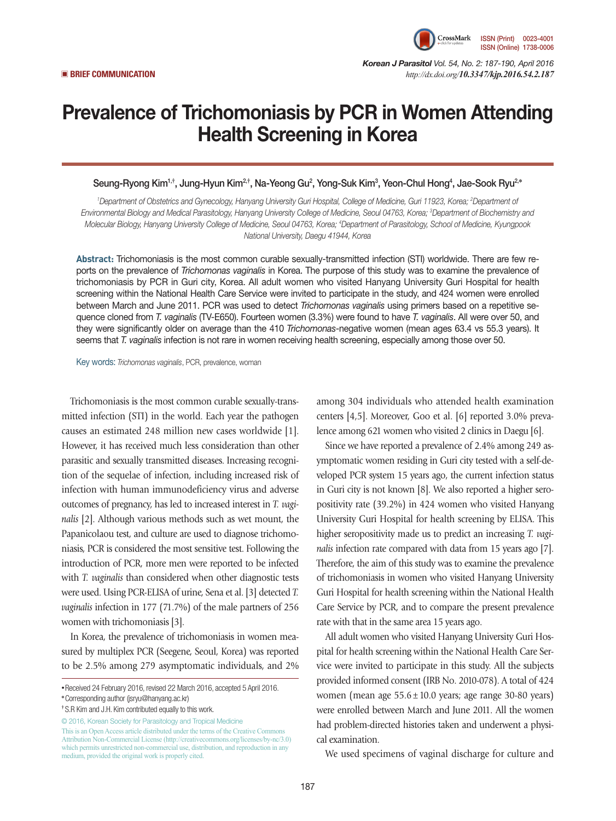

*Korean J Parasitol Vol. 54, No. 2: 187-190, April 2016*  ▣ **BRIEF COMMUNICATION** *http://dx.doi.org/10.3347/kjp.2016.54.2.187*

# Prevalence of Trichomoniasis by PCR in Women Attending Health Screening in Korea

## Seung-Ryong Kim<sup>1,†</sup>, Jung-Hyun Kim<sup>2,†</sup>, Na-Yeong Gu<sup>2</sup>, Yong-Suk Kim<sup>3</sup>, Yeon-Chul Hong<sup>4</sup>, Jae-Sook Ryu<sup>2,</sup>\*

*1 Department of Obstetrics and Gynecology, Hanyang University Guri Hospital, College of Medicine, Guri 11923, Korea; 2 Department of Environmental Biology and Medical Parasitology, Hanyang University College of Medicine, Seoul 04763, Korea; 3 Department of Biochemistry and Molecular Biology, Hanyang University College of Medicine, Seoul 04763, Korea; 4 Department of Parasitology, School of Medicine, Kyungpook National University, Daegu 41944, Korea* 

**Abstract:** Trichomoniasis is the most common curable sexually-transmitted infection (STI) worldwide. There are few reports on the prevalence of *Trichomonas vaginalis* in Korea. The purpose of this study was to examine the prevalence of trichomoniasis by PCR in Guri city, Korea. All adult women who visited Hanyang University Guri Hospital for health screening within the National Health Care Service were invited to participate in the study, and 424 women were enrolled between March and June 2011. PCR was used to detect *Trichomonas vaginalis* using primers based on a repetitive sequence cloned from *T. vaginalis* (TV-E650). Fourteen women (3.3%) were found to have *T. vaginalis*. All were over 50, and they were significantly older on average than the 410 *Trichomonas*-negative women (mean ages 63.4 vs 55.3 years). It seems that *T. vaginalis* infection is not rare in women receiving health screening, especially among those over 50.

Key words: *Trichomonas vaginalis*, PCR, prevalence, woman

Trichomoniasis is the most common curable sexually-transmitted infection (STI) in the world. Each year the pathogen causes an estimated 248 million new cases worldwide [1]. However, it has received much less consideration than other parasitic and sexually transmitted diseases. Increasing recognition of the sequelae of infection, including increased risk of infection with human immunodeficiency virus and adverse outcomes of pregnancy, has led to increased interest in *T. vaginalis* [2]. Although various methods such as wet mount, the Papanicolaou test, and culture are used to diagnose trichomoniasis, PCR is considered the most sensitive test. Following the introduction of PCR, more men were reported to be infected with *T. vaginalis* than considered when other diagnostic tests were used. Using PCR-ELISA of urine, Sena et al. [3] detected *T. vaginalis* infection in 177 (71.7%) of the male partners of 256 women with trichomoniasis [3].

In Korea, the prevalence of trichomoniasis in women measured by multiplex PCR (Seegene, Seoul, Korea) was reported to be 2.5% among 279 asymptomatic individuals, and 2%

© 2016, Korean Society for Parasitology and Tropical Medicine This is an Open Access article distributed under the terms of the Creative Commons Attribution Non-Commercial License (http://creativecommons.org/licenses/by-nc/3.0) which permits unrestricted non-commercial use, distribution, and reproduction in any medium, provided the original work is properly cited.

among 304 individuals who attended health examination centers [4,5]. Moreover, Goo et al. [6] reported 3.0% prevalence among 621 women who visited 2 clinics in Daegu [6].

Since we have reported a prevalence of 2.4% among 249 asymptomatic women residing in Guri city tested with a self-developed PCR system 15 years ago, the current infection status in Guri city is not known [8]. We also reported a higher seropositivity rate (39.2%) in 424 women who visited Hanyang University Guri Hospital for health screening by ELISA. This higher seropositivity made us to predict an increasing *T. vaginalis* infection rate compared with data from 15 years ago [7]. Therefore, the aim of this study was to examine the prevalence of trichomoniasis in women who visited Hanyang University Guri Hospital for health screening within the National Health Care Service by PCR, and to compare the present prevalence rate with that in the same area 15 years ago.

All adult women who visited Hanyang University Guri Hospital for health screening within the National Health Care Service were invited to participate in this study. All the subjects provided informed consent (IRB No. 2010-078). A total of 424 women (mean age 55.6±10.0 years; age range 30-80 years) were enrolled between March and June 2011. All the women had problem-directed histories taken and underwent a physical examination.

We used specimens of vaginal discharge for culture and

**<sup>•</sup>**Received 24 February 2016, revised 22 March 2016, accepted 5 April 2016.

**<sup>\*</sup>**Corresponding author (jsryu@hanyang.ac.kr)

**<sup>†</sup>** S.R Kim and J.H. Kim contributed equally to this work.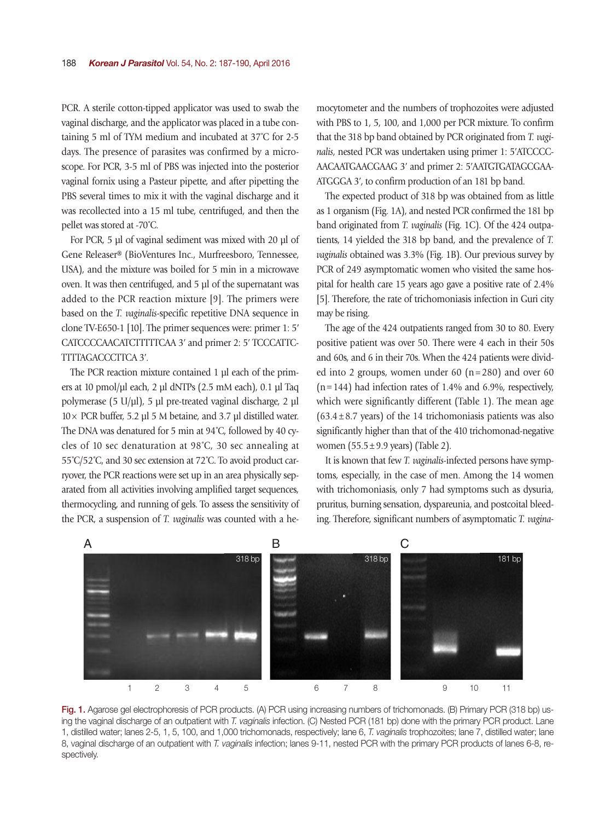PCR. A sterile cotton-tipped applicator was used to swab the vaginal discharge, and the applicator was placed in a tube containing 5 ml of TYM medium and incubated at 37˚C for 2-5 days. The presence of parasites was confirmed by a microscope. For PCR, 3-5 ml of PBS was injected into the posterior vaginal fornix using a Pasteur pipette, and after pipetting the PBS several times to mix it with the vaginal discharge and it was recollected into a 15 ml tube, centrifuged, and then the pellet was stored at -70˚C.

For PCR, 5 µl of vaginal sediment was mixed with 20 µl of Gene Releaser® (BioVentures Inc., Murfreesboro, Tennessee, USA), and the mixture was boiled for 5 min in a microwave oven. It was then centrifuged, and 5 µl of the supernatant was added to the PCR reaction mixture [9]. The primers were based on the *T. vaginalis*-specific repetitive DNA sequence in clone TV-E650-1 [10]. The primer sequences were: primer 1: 5ʹ CATCCCCAACATCTTTTTCAA 3ʹ and primer 2: 5ʹ TCCCATTC-TTTTAGACCCTTCA 3ʹ.

The PCR reaction mixture contained 1 µl each of the primers at 10 pmol/µl each, 2 µl dNTPs (2.5 mM each), 0.1 µl Taq polymerase (5 U/µl), 5 µl pre-treated vaginal discharge, 2 µl  $10 \times$  PCR buffer, 5.2 µl 5 M betaine, and 3.7 µl distilled water. The DNA was denatured for 5 min at 94˚C, followed by 40 cycles of 10 sec denaturation at 98˚C, 30 sec annealing at 55˚C/52˚C, and 30 sec extension at 72˚C. To avoid product carryover, the PCR reactions were set up in an area physically separated from all activities involving amplified target sequences, thermocycling, and running of gels. To assess the sensitivity of the PCR, a suspension of *T. vaginalis* was counted with a hemocytometer and the numbers of trophozoites were adjusted with PBS to 1, 5, 100, and 1,000 per PCR mixture. To confirm that the 318 bp band obtained by PCR originated from *T. vaginalis*, nested PCR was undertaken using primer 1: 5ʹATCCCC-AACAATGAACGAAG 3ʹ and primer 2: 5ʹAATGTGATAGCGAA-ATGGGA 3ʹ, to confirm production of an 181 bp band.

The expected product of 318 bp was obtained from as little as 1 organism (Fig. 1A), and nested PCR confirmed the 181 bp band originated from *T. vaginalis* (Fig. 1C). Of the 424 outpatients, 14 yielded the 318 bp band, and the prevalence of *T. vaginalis* obtained was 3.3% (Fig. 1B). Our previous survey by PCR of 249 asymptomatic women who visited the same hospital for health care 15 years ago gave a positive rate of 2.4% [5]. Therefore, the rate of trichomoniasis infection in Guri city may be rising.

The age of the 424 outpatients ranged from 30 to 80. Every positive patient was over 50. There were 4 each in their 50s and 60s, and 6 in their 70s. When the 424 patients were divided into 2 groups, women under 60 (n=280) and over 60  $(n=144)$  had infection rates of 1.4% and 6.9%, respectively, which were significantly different (Table 1). The mean age  $(63.4 \pm 8.7 \text{ years})$  of the 14 trichomoniasis patients was also significantly higher than that of the 410 trichomonad-negative women (55.5±9.9 years) (Table 2).

It is known that few *T. vaginalis*-infected persons have symptoms, especially, in the case of men. Among the 14 women with trichomoniasis, only 7 had symptoms such as dysuria, pruritus, burning sensation, dyspareunia, and postcoital bleeding. Therefore, significant numbers of asymptomatic *T. vagina-*



Fig. 1. Agarose gel electrophoresis of PCR products. (A) PCR using increasing numbers of trichomonads. (B) Primary PCR (318 bp) using the vaginal discharge of an outpatient with *T. vaginalis* infection. (C) Nested PCR (181 bp) done with the primary PCR product. Lane 1, distilled water; lanes 2-5, 1, 5, 100, and 1,000 trichomonads, respectively; lane 6, *T. vaginalis* trophozoites; lane 7, distilled water; lane 8, vaginal discharge of an outpatient with *T. vaginalis* infection; lanes 9-11, nested PCR with the primary PCR products of lanes 6-8, respectively.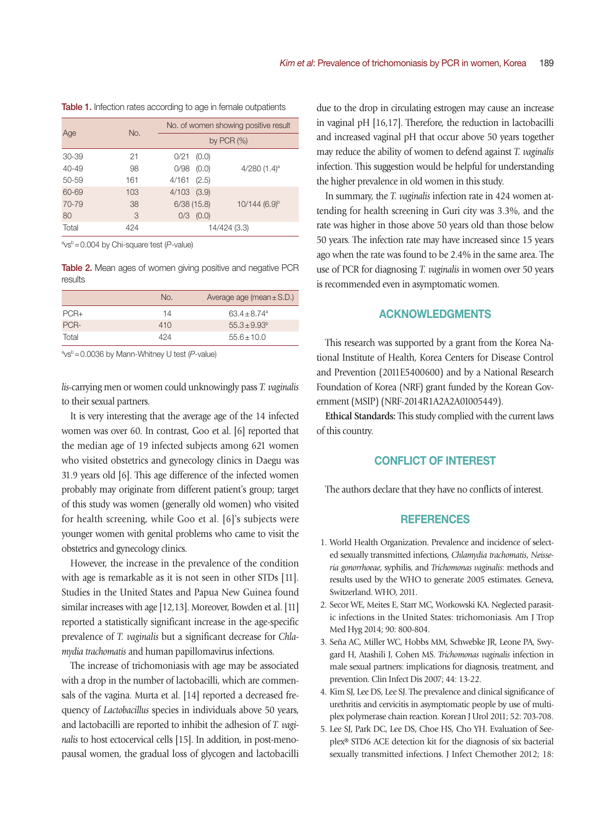| Age       | No. | No. of women showing positive result |                             |  |  |  |  |
|-----------|-----|--------------------------------------|-----------------------------|--|--|--|--|
|           |     |                                      | by PCR $(%)$                |  |  |  |  |
| 30-39     | 21  | $0/21$ $(0.0)$                       |                             |  |  |  |  |
| $40 - 49$ | 98  | 0/98<br>(0.0)                        | 4/280 $(1.4)$ <sup>a</sup>  |  |  |  |  |
| 50-59     | 161 | $4/161$ $(2.5)$                      |                             |  |  |  |  |
| 60-69     | 103 | $4/103$ $(3.9)$                      |                             |  |  |  |  |
| 70-79     | 38  | 6/38(15.8)                           | $10/144$ (6.9) <sup>b</sup> |  |  |  |  |
| 80        | 3   | (0.0)<br>0/3                         |                             |  |  |  |  |
| Total     | 424 |                                      | 14/424 (3.3)                |  |  |  |  |

|  |  | Table 1. Infection rates according to age in female outpatients |  |  |  |  |
|--|--|-----------------------------------------------------------------|--|--|--|--|
|  |  |                                                                 |  |  |  |  |

a vsb=0.004 by Chi-square test (*P*-value)

Table 2. Mean ages of women giving positive and negative PCR results

|        | No. | Average age (mean $\pm$ S.D.) |
|--------|-----|-------------------------------|
| $PCR+$ | 14  | $63.4 + 8.74$ <sup>a</sup>    |
| PCR-   | 410 | $55.3 + 9.93^b$               |
| Total  | 424 | $55.6 + 10.0$                 |

a vsb=0.0036 by Mann-Whitney U test (*P*-value)

*lis*-carrying men or women could unknowingly pass *T. vaginalis* to their sexual partners.

It is very interesting that the average age of the 14 infected women was over 60. In contrast, Goo et al. [6] reported that the median age of 19 infected subjects among 621 women who visited obstetrics and gynecology clinics in Daegu was 31.9 years old [6]. This age difference of the infected women probably may originate from different patient's group; target of this study was women (generally old women) who visited for health screening, while Goo et al. [6]'s subjects were younger women with genital problems who came to visit the obstetrics and gynecology clinics.

However, the increase in the prevalence of the condition with age is remarkable as it is not seen in other STDs [11]. Studies in the United States and Papua New Guinea found similar increases with age [12,13]. Moreover, Bowden et al. [11] reported a statistically significant increase in the age-specific prevalence of *T. vaginalis* but a significant decrease for *Chlamydia trachomatis* and human papillomavirus infections.

The increase of trichomoniasis with age may be associated with a drop in the number of lactobacilli, which are commensals of the vagina. Murta et al. [14] reported a decreased frequency of *Lactobacillus* species in individuals above 50 years, and lactobacilli are reported to inhibit the adhesion of *T. vaginalis* to host ectocervical cells [15]. In addition, in post-menopausal women, the gradual loss of glycogen and lactobacilli

due to the drop in circulating estrogen may cause an increase in vaginal pH [16,17]. Therefore, the reduction in lactobacilli and increased vaginal pH that occur above 50 years together may reduce the ability of women to defend against *T. vaginalis* infection. This suggestion would be helpful for understanding the higher prevalence in old women in this study.

In summary, the *T. vaginalis* infection rate in 424 women attending for health screening in Guri city was 3.3%, and the rate was higher in those above 50 years old than those below 50 years. The infection rate may have increased since 15 years ago when the rate was found to be 2.4% in the same area. The use of PCR for diagnosing *T. vaginalis* in women over 50 years is recommended even in asymptomatic women.

### ACKNOWLEDGMENTS

This research was supported by a grant from the Korea National Institute of Health, Korea Centers for Disease Control and Prevention (2011E5400600) and by a National Research Foundation of Korea (NRF) grant funded by the Korean Government (MSIP) (NRF-2014R1A2A2A01005449).

**Ethical Standards:** This study complied with the current laws of this country.

### CONFLICT OF INTEREST

The authors declare that they have no conflicts of interest.

#### **REFERENCES**

- 1. World Health Organization. Prevalence and incidence of selected sexually transmitted infections, *Chlamydia trachomatis*, *Neisseria gonorrhoeae*, syphilis, and *Trichomonas vaginalis*: methods and results used by the WHO to generate 2005 estimates. Geneva, Switzerland. WHO, 2011.
- 2. Secor WE, Meites E, Starr MC, Workowski KA. Neglected parasitic infections in the United States: trichomoniasis. Am J Trop Med Hyg 2014; 90: 800-804.
- 3. Seña AC, Miller WC, Hobbs MM, Schwebke JR, Leone PA, Swygard H, Atashili J, Cohen MS. *Trichomonas vaginalis* infection in male sexual partners: implications for diagnosis, treatment, and prevention. Clin Infect Dis 2007; 44: 13-22.
- 4. Kim SJ, Lee DS, Lee SJ. The prevalence and clinical significance of urethritis and cervicitis in asymptomatic people by use of multiplex polymerase chain reaction. Korean J Urol 2011; 52: 703-708.
- 5. Lee SJ, Park DC, Lee DS, Choe HS, Cho YH. Evaluation of Seeplex® STD6 ACE detection kit for the diagnosis of six bacterial sexually transmitted infections. J Infect Chemother 2012; 18: